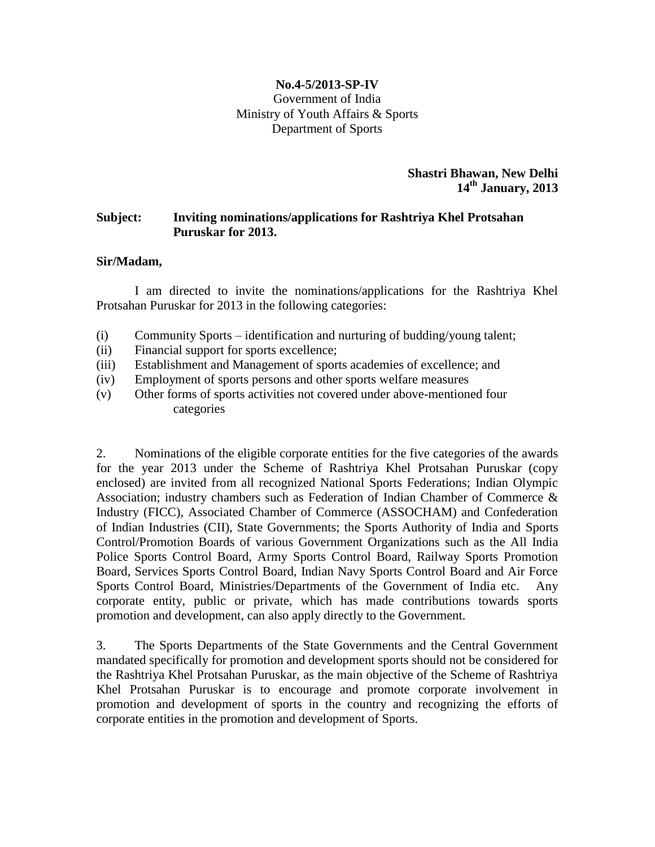#### **No.4-5/2013-SP-IV** Government of India Ministry of Youth Affairs & Sports Department of Sports

**Shastri Bhawan, New Delhi 14th January, 2013**

### **Subject: Inviting nominations/applications for Rashtriya Khel Protsahan Puruskar for 2013.**

#### **Sir/Madam,**

I am directed to invite the nominations/applications for the Rashtriya Khel Protsahan Puruskar for 2013 in the following categories:

- (i) Community Sports identification and nurturing of budding/young talent;
- (ii) Financial support for sports excellence;
- (iii) Establishment and Management of sports academies of excellence; and
- (iv) Employment of sports persons and other sports welfare measures
- (v) Other forms of sports activities not covered under above-mentioned four categories

2. Nominations of the eligible corporate entities for the five categories of the awards for the year 2013 under the Scheme of Rashtriya Khel Protsahan Puruskar (copy enclosed) are invited from all recognized National Sports Federations; Indian Olympic Association; industry chambers such as Federation of Indian Chamber of Commerce & Industry (FICC), Associated Chamber of Commerce (ASSOCHAM) and Confederation of Indian Industries (CII), State Governments; the Sports Authority of India and Sports Control/Promotion Boards of various Government Organizations such as the All India Police Sports Control Board, Army Sports Control Board, Railway Sports Promotion Board, Services Sports Control Board, Indian Navy Sports Control Board and Air Force Sports Control Board, Ministries/Departments of the Government of India etc. Any corporate entity, public or private, which has made contributions towards sports promotion and development, can also apply directly to the Government.

3. The Sports Departments of the State Governments and the Central Government mandated specifically for promotion and development sports should not be considered for the Rashtriya Khel Protsahan Puruskar, as the main objective of the Scheme of Rashtriya Khel Protsahan Puruskar is to encourage and promote corporate involvement in promotion and development of sports in the country and recognizing the efforts of corporate entities in the promotion and development of Sports.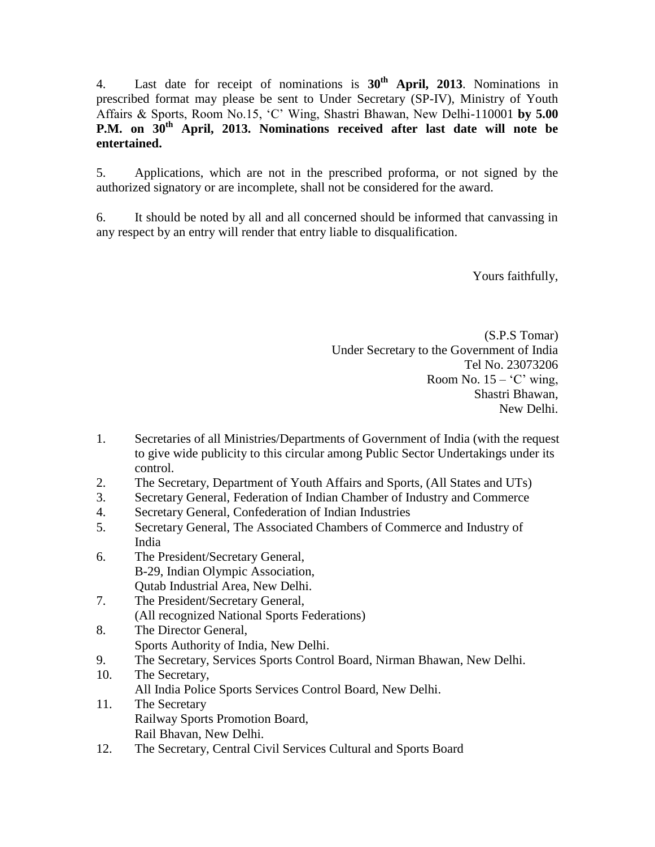4. Last date for receipt of nominations is **30th April, 2013**. Nominations in prescribed format may please be sent to Under Secretary (SP-IV), Ministry of Youth Affairs & Sports, Room No.15, 'C' Wing, Shastri Bhawan, New Delhi-110001 **by 5.00 P.M. on 30th April, 2013. Nominations received after last date will note be entertained.** 

5. Applications, which are not in the prescribed proforma, or not signed by the authorized signatory or are incomplete, shall not be considered for the award.

6. It should be noted by all and all concerned should be informed that canvassing in any respect by an entry will render that entry liable to disqualification.

Yours faithfully,

(S.P.S Tomar) Under Secretary to the Government of India Tel No. 23073206 Room No.  $15 - 'C'$  wing, Shastri Bhawan, New Delhi.

- 1. Secretaries of all Ministries/Departments of Government of India (with the request to give wide publicity to this circular among Public Sector Undertakings under its control.
- 2. The Secretary, Department of Youth Affairs and Sports, (All States and UTs)
- 3. Secretary General, Federation of Indian Chamber of Industry and Commerce
- 4. Secretary General, Confederation of Indian Industries
- 5. Secretary General, [The Associated Chambers of Commerce and Industry of](http://www.assocham.org/)  [India](http://www.assocham.org/)
- 6. The President/Secretary General, B-29, Indian Olympic Association, Qutab Industrial Area, New Delhi.
- 7. The President/Secretary General, (All recognized National Sports Federations)
- 8. The Director General, Sports Authority of India, New Delhi.
- 9. The Secretary, Services Sports Control Board, Nirman Bhawan, New Delhi.
- 10. The Secretary, All India Police Sports Services Control Board, New Delhi.
- 11. The Secretary Railway Sports Promotion Board, Rail Bhavan, New Delhi.
- 12. The Secretary, Central Civil Services Cultural and Sports Board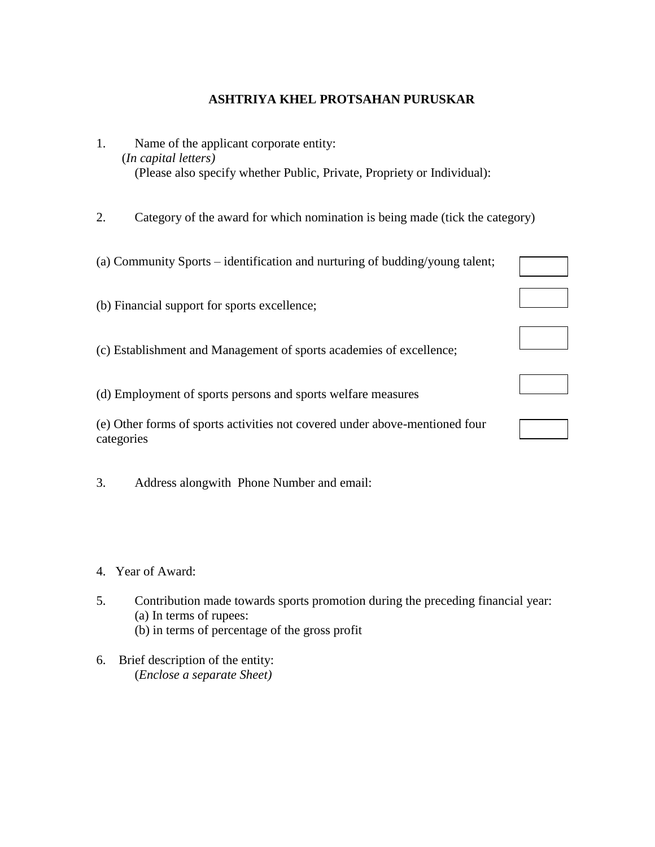### **ASHTRIYA KHEL PROTSAHAN PURUSKAR**

- 1. Name of the applicant corporate entity: (*In capital letters)*  (Please also specify whether Public, Private, Propriety or Individual):
- 2. Category of the award for which nomination is being made (tick the category)

| (a) Community Sports – identification and nurturing of budding/young talent;              |  |
|-------------------------------------------------------------------------------------------|--|
| (b) Financial support for sports excellence;                                              |  |
| (c) Establishment and Management of sports academies of excellence;                       |  |
| (d) Employment of sports persons and sports welfare measures                              |  |
| (e) Other forms of sports activities not covered under above-mentioned four<br>categories |  |

- 3. Address alongwith Phone Number and email:
- 4. Year of Award:
- 5. Contribution made towards sports promotion during the preceding financial year: (a) In terms of rupees: (b) in terms of percentage of the gross profit
- 6. Brief description of the entity: (*Enclose a separate Sheet)*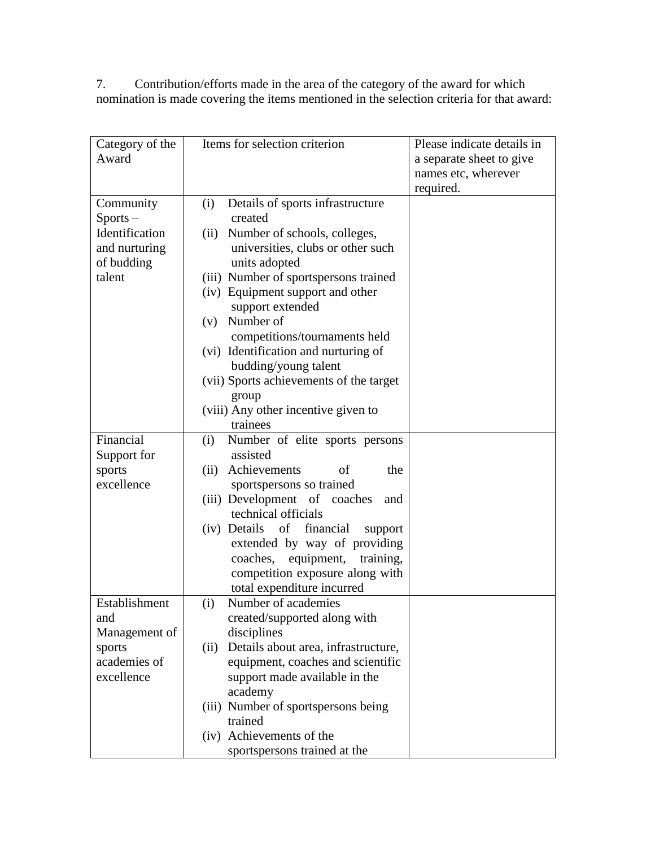7. Contribution/efforts made in the area of the category of the award for which nomination is made covering the items mentioned in the selection criteria for that award:

| Category of the | Items for selection criterion               | Please indicate details in |
|-----------------|---------------------------------------------|----------------------------|
| Award           |                                             | a separate sheet to give   |
|                 |                                             | names etc, wherever        |
|                 |                                             | required.                  |
| Community       | (i)<br>Details of sports infrastructure     |                            |
| $Sports -$      | created                                     |                            |
| Identification  | Number of schools, colleges,<br>(ii)        |                            |
| and nurturing   | universities, clubs or other such           |                            |
| of budding      | units adopted                               |                            |
| talent          | (iii) Number of sportspersons trained       |                            |
|                 | (iv) Equipment support and other            |                            |
|                 | support extended                            |                            |
|                 | Number of<br>(v)                            |                            |
|                 | competitions/tournaments held               |                            |
|                 | (vi) Identification and nurturing of        |                            |
|                 | budding/young talent                        |                            |
|                 | (vii) Sports achievements of the target     |                            |
|                 | group                                       |                            |
|                 | (viii) Any other incentive given to         |                            |
|                 | trainees                                    |                            |
| Financial       | Number of elite sports persons<br>(i)       |                            |
| Support for     | assisted                                    |                            |
| sports          | (ii) Achievements<br>the<br>of              |                            |
| excellence      | sportspersons so trained                    |                            |
|                 | (iii) Development of coaches<br>and         |                            |
|                 | technical officials                         |                            |
|                 | (iv) Details of<br>financial<br>support     |                            |
|                 | extended by way of providing                |                            |
|                 | equipment, training,<br>coaches,            |                            |
|                 | competition exposure along with             |                            |
|                 | total expenditure incurred                  |                            |
| Establishment   | Number of academies<br>(i)                  |                            |
| and             | created/supported along with                |                            |
| Management of   | disciplines                                 |                            |
| sports          | Details about area, infrastructure,<br>(ii) |                            |
| academies of    | equipment, coaches and scientific           |                            |
| excellence      | support made available in the               |                            |
|                 | academy                                     |                            |
|                 | (iii) Number of sportspersons being         |                            |
|                 | trained                                     |                            |
|                 | (iv) Achievements of the                    |                            |
|                 | sportspersons trained at the                |                            |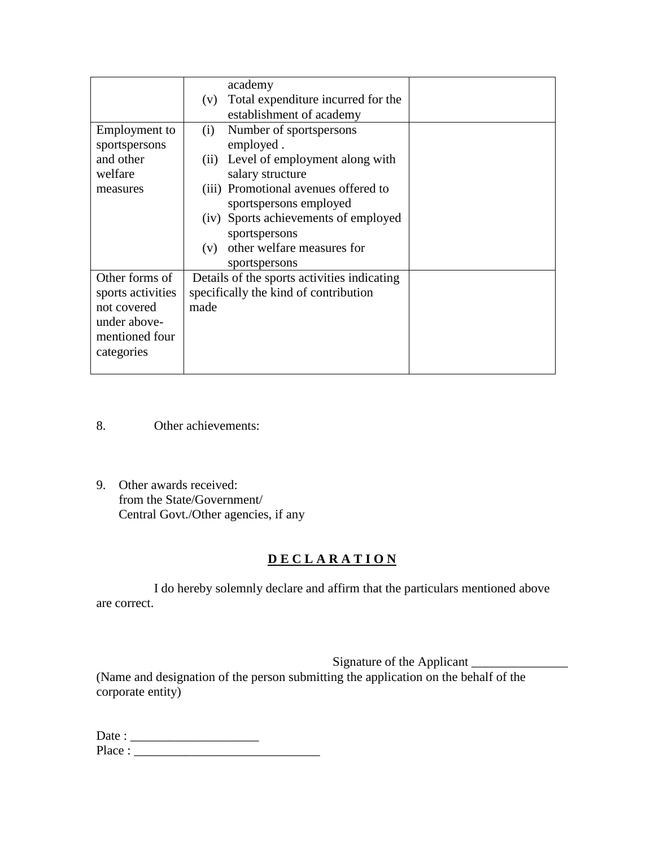|                   | academy                                     |
|-------------------|---------------------------------------------|
|                   | Total expenditure incurred for the<br>(V)   |
|                   | establishment of academy                    |
| Employment to     | Number of sportspersons<br>(i)              |
| sportspersons     | employed.                                   |
| and other         | Level of employment along with<br>(ii)      |
| welfare           | salary structure                            |
| measures          | (iii) Promotional avenues offered to        |
|                   | sportspersons employed                      |
|                   | (iv) Sports achievements of employed        |
|                   | sportspersons                               |
|                   | other welfare measures for<br>(v)           |
|                   | sportspersons                               |
| Other forms of    | Details of the sports activities indicating |
| sports activities | specifically the kind of contribution       |
| not covered       | made                                        |
| under above-      |                                             |
| mentioned four    |                                             |
| categories        |                                             |
|                   |                                             |

- 8. Other achievements:
- 9. Other awards received: from the State/Government/ Central Govt./Other agencies, if any

# **D E C L A R A T I O N**

I do hereby solemnly declare and affirm that the particulars mentioned above are correct.

Signature of the Applicant (Name and designation of the person submitting the application on the behalf of the corporate entity)

| Date:  |  |
|--------|--|
| Place: |  |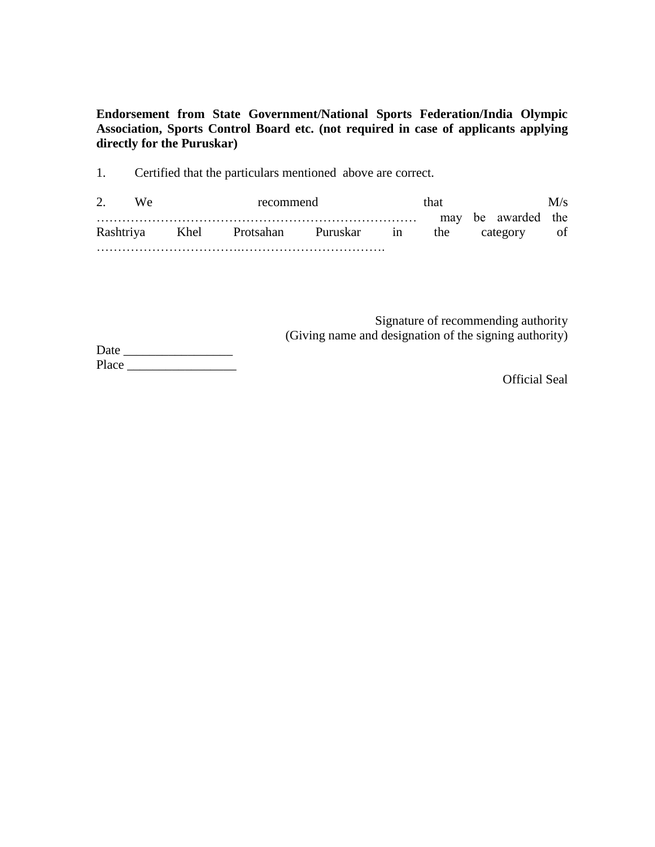**Endorsement from State Government/National Sports Federation/India Olympic Association, Sports Control Board etc. (not required in case of applicants applying directly for the Puruskar)**

1. Certified that the particulars mentioned above are correct.

2. We recommend that M/s ………………………………………………………………… may be awarded the Rashtriya Khel Protsahan Puruskar in the category of …………………………….…………………………….

> Signature of recommending authority (Giving name and designation of the signing authority)

Date \_\_\_\_\_\_\_\_\_\_\_\_\_\_\_\_\_ Place  $\Box$ 

Official Seal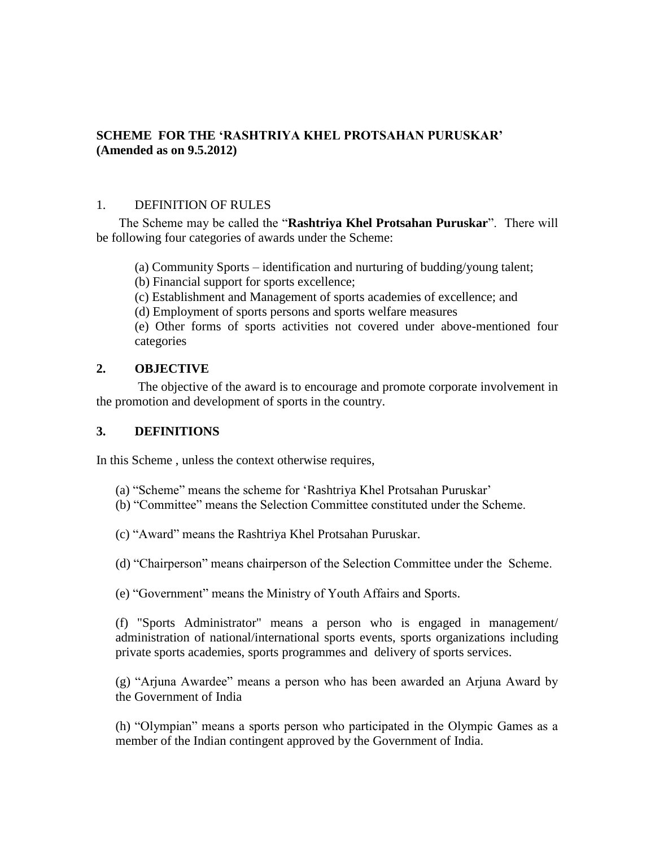### **SCHEME FOR THE 'RASHTRIYA KHEL PROTSAHAN PURUSKAR' (Amended as on 9.5.2012)**

#### 1. DEFINITION OF RULES

 The Scheme may be called the "**Rashtriya Khel Protsahan Puruskar**". There will be following four categories of awards under the Scheme:

(a) Community Sports – identification and nurturing of budding/young talent;

(b) Financial support for sports excellence;

(c) Establishment and Management of sports academies of excellence; and

(d) Employment of sports persons and sports welfare measures

(e) Other forms of sports activities not covered under above-mentioned four categories

### **2. OBJECTIVE**

The objective of the award is to encourage and promote corporate involvement in the promotion and development of sports in the country.

## **3. DEFINITIONS**

In this Scheme , unless the context otherwise requires,

- (a) "Scheme" means the scheme for 'Rashtriya Khel Protsahan Puruskar'
- (b) "Committee" means the Selection Committee constituted under the Scheme.

(c) "Award" means the Rashtriya Khel Protsahan Puruskar.

(d) "Chairperson" means chairperson of the Selection Committee under the Scheme.

(e) "Government" means the Ministry of Youth Affairs and Sports.

(f) "Sports Administrator" means a person who is engaged in management/ administration of national/international sports events, sports organizations including private sports academies, sports programmes and delivery of sports services.

(g) "Arjuna Awardee" means a person who has been awarded an Arjuna Award by the Government of India

(h) "Olympian" means a sports person who participated in the Olympic Games as a member of the Indian contingent approved by the Government of India.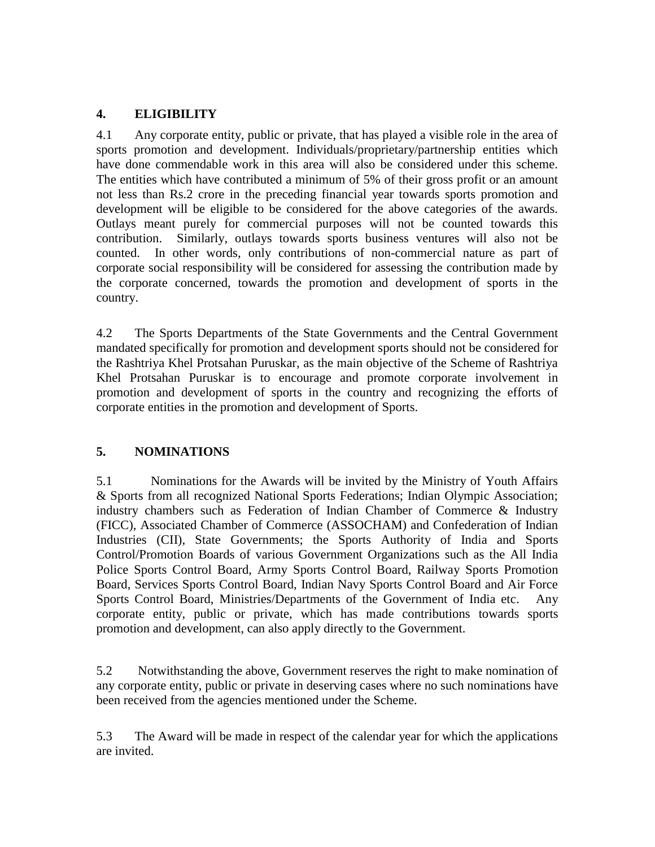## **4. ELIGIBILITY**

4.1 Any corporate entity, public or private, that has played a visible role in the area of sports promotion and development. Individuals/proprietary/partnership entities which have done commendable work in this area will also be considered under this scheme. The entities which have contributed a minimum of 5% of their gross profit or an amount not less than Rs.2 crore in the preceding financial year towards sports promotion and development will be eligible to be considered for the above categories of the awards. Outlays meant purely for commercial purposes will not be counted towards this contribution. Similarly, outlays towards sports business ventures will also not be counted. In other words, only contributions of non-commercial nature as part of corporate social responsibility will be considered for assessing the contribution made by the corporate concerned, towards the promotion and development of sports in the country.

4.2 The Sports Departments of the State Governments and the Central Government mandated specifically for promotion and development sports should not be considered for the Rashtriya Khel Protsahan Puruskar, as the main objective of the Scheme of Rashtriya Khel Protsahan Puruskar is to encourage and promote corporate involvement in promotion and development of sports in the country and recognizing the efforts of corporate entities in the promotion and development of Sports.

### **5. NOMINATIONS**

5.1 Nominations for the Awards will be invited by the Ministry of Youth Affairs & Sports from all recognized National Sports Federations; Indian Olympic Association; industry chambers such as Federation of Indian Chamber of Commerce & Industry (FICC), Associated Chamber of Commerce (ASSOCHAM) and Confederation of Indian Industries (CII), State Governments; the Sports Authority of India and Sports Control/Promotion Boards of various Government Organizations such as the All India Police Sports Control Board, Army Sports Control Board, Railway Sports Promotion Board, Services Sports Control Board, Indian Navy Sports Control Board and Air Force Sports Control Board, Ministries/Departments of the Government of India etc. Any corporate entity, public or private, which has made contributions towards sports promotion and development, can also apply directly to the Government.

5.2 Notwithstanding the above, Government reserves the right to make nomination of any corporate entity, public or private in deserving cases where no such nominations have been received from the agencies mentioned under the Scheme.

5.3 The Award will be made in respect of the calendar year for which the applications are invited.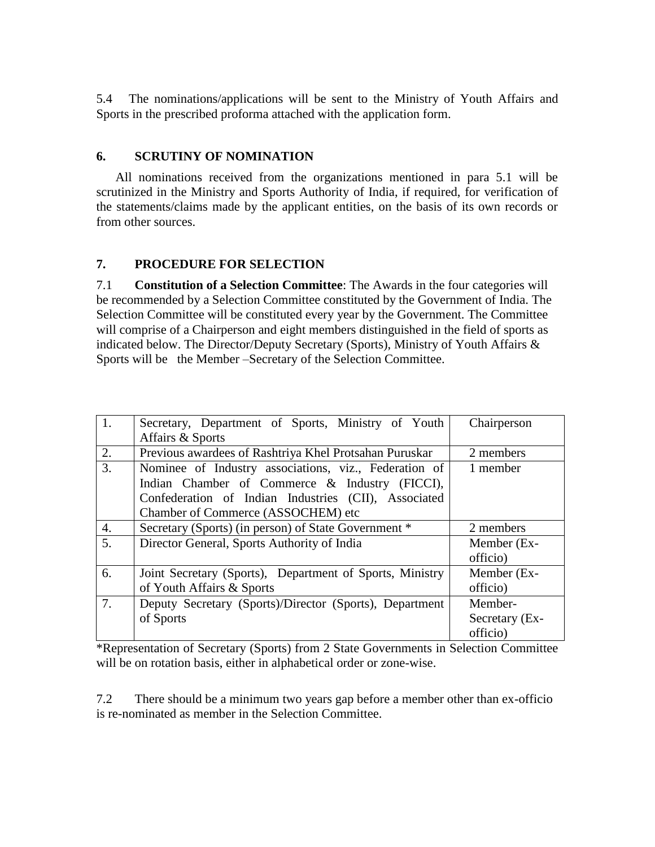5.4 The nominations/applications will be sent to the Ministry of Youth Affairs and Sports in the prescribed proforma attached with the application form.

## **6. SCRUTINY OF NOMINATION**

 All nominations received from the organizations mentioned in para 5.1 will be scrutinized in the Ministry and Sports Authority of India, if required, for verification of the statements/claims made by the applicant entities, on the basis of its own records or from other sources.

## **7. PROCEDURE FOR SELECTION**

7.1 **Constitution of a Selection Committee**: The Awards in the four categories will be recommended by a Selection Committee constituted by the Government of India. The Selection Committee will be constituted every year by the Government. The Committee will comprise of a Chairperson and eight members distinguished in the field of sports as indicated below. The Director/Deputy Secretary (Sports), Ministry of Youth Affairs & Sports will be the Member –Secretary of the Selection Committee.

| 1. | Secretary, Department of Sports, Ministry of Youth       | Chairperson    |
|----|----------------------------------------------------------|----------------|
|    | Affairs & Sports                                         |                |
| 2. | Previous awardees of Rashtriya Khel Protsahan Puruskar   | 2 members      |
| 3. | Nominee of Industry associations, viz., Federation of    | 1 member       |
|    | Indian Chamber of Commerce & Industry (FICCI),           |                |
|    | Confederation of Indian Industries (CII), Associated     |                |
|    | Chamber of Commerce (ASSOCHEM) etc                       |                |
| 4. | Secretary (Sports) (in person) of State Government *     | 2 members      |
| 5. | Director General, Sports Authority of India              | Member (Ex-    |
|    |                                                          | officio)       |
| 6. | Joint Secretary (Sports), Department of Sports, Ministry | Member (Ex-    |
|    | of Youth Affairs & Sports                                | officio)       |
| 7. | Deputy Secretary (Sports)/Director (Sports), Department  | Member-        |
|    | of Sports                                                | Secretary (Ex- |
|    |                                                          | officio)       |

\*Representation of Secretary (Sports) from 2 State Governments in Selection Committee will be on rotation basis, either in alphabetical order or zone-wise.

7.2 There should be a minimum two years gap before a member other than ex-officio is re-nominated as member in the Selection Committee.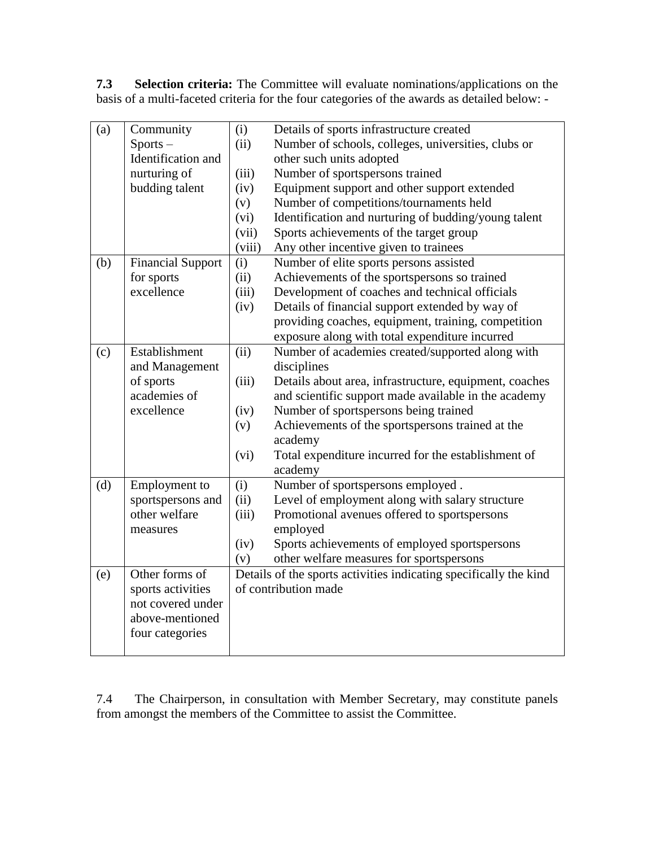**7.3 Selection criteria:** The Committee will evaluate nominations/applications on the basis of a multi-faceted criteria for the four categories of the awards as detailed below: -

| (a) | Community                | (i)    | Details of sports infrastructure created                          |
|-----|--------------------------|--------|-------------------------------------------------------------------|
|     | $Sports -$               | (ii)   | Number of schools, colleges, universities, clubs or               |
|     | Identification and       |        | other such units adopted                                          |
|     | nurturing of             | (iii)  | Number of sportspersons trained                                   |
|     | budding talent           | (iv)   | Equipment support and other support extended                      |
|     |                          | (v)    | Number of competitions/tournaments held                           |
|     |                          | (vi)   | Identification and nurturing of budding/young talent              |
|     |                          | (vii)  | Sports achievements of the target group                           |
|     |                          | (viii) | Any other incentive given to trainees                             |
| (b) | <b>Financial Support</b> | (i)    | Number of elite sports persons assisted                           |
|     | for sports               | (ii)   | Achievements of the sportspersons so trained                      |
|     | excellence               | (iii)  | Development of coaches and technical officials                    |
|     |                          | (iv)   | Details of financial support extended by way of                   |
|     |                          |        | providing coaches, equipment, training, competition               |
|     |                          |        | exposure along with total expenditure incurred                    |
| (c) | Establishment            | (ii)   | Number of academies created/supported along with                  |
|     | and Management           |        | disciplines                                                       |
|     | of sports                | (iii)  | Details about area, infrastructure, equipment, coaches            |
|     | academies of             |        | and scientific support made available in the academy              |
|     | excellence               | (iv)   | Number of sportspersons being trained                             |
|     |                          | (v)    | Achievements of the sportspersons trained at the                  |
|     |                          |        | academy                                                           |
|     |                          | (vi)   | Total expenditure incurred for the establishment of               |
|     |                          |        | academy                                                           |
| (d) | Employment to            | (i)    | Number of sportspersons employed.                                 |
|     | sportspersons and        | (ii)   | Level of employment along with salary structure                   |
|     | other welfare            | (iii)  | Promotional avenues offered to sportspersons                      |
|     | measures                 |        | employed                                                          |
|     |                          | (iv)   | Sports achievements of employed sportspersons                     |
|     |                          | (v)    | other welfare measures for sportspersons                          |
| (e) | Other forms of           |        | Details of the sports activities indicating specifically the kind |
|     | sports activities        |        | of contribution made                                              |
|     | not covered under        |        |                                                                   |
|     | above-mentioned          |        |                                                                   |
|     | four categories          |        |                                                                   |
|     |                          |        |                                                                   |

7.4 The Chairperson, in consultation with Member Secretary, may constitute panels from amongst the members of the Committee to assist the Committee.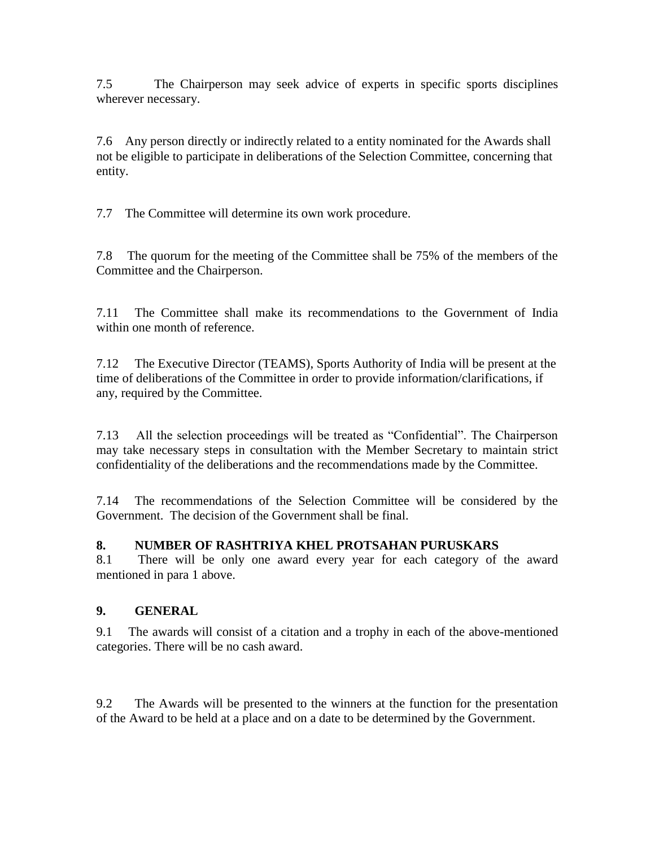7.5 The Chairperson may seek advice of experts in specific sports disciplines wherever necessary.

7.6 Any person directly or indirectly related to a entity nominated for the Awards shall not be eligible to participate in deliberations of the Selection Committee, concerning that entity.

7.7 The Committee will determine its own work procedure.

7.8 The quorum for the meeting of the Committee shall be 75% of the members of the Committee and the Chairperson.

7.11 The Committee shall make its recommendations to the Government of India within one month of reference.

7.12 The Executive Director (TEAMS), Sports Authority of India will be present at the time of deliberations of the Committee in order to provide information/clarifications, if any, required by the Committee.

7.13 All the selection proceedings will be treated as "Confidential". The Chairperson may take necessary steps in consultation with the Member Secretary to maintain strict confidentiality of the deliberations and the recommendations made by the Committee.

7.14 The recommendations of the Selection Committee will be considered by the Government. The decision of the Government shall be final.

# **8. NUMBER OF RASHTRIYA KHEL PROTSAHAN PURUSKARS**

8.1 There will be only one award every year for each category of the award mentioned in para 1 above.

### **9. GENERAL**

9.1 The awards will consist of a citation and a trophy in each of the above-mentioned categories. There will be no cash award.

9.2 The Awards will be presented to the winners at the function for the presentation of the Award to be held at a place and on a date to be determined by the Government.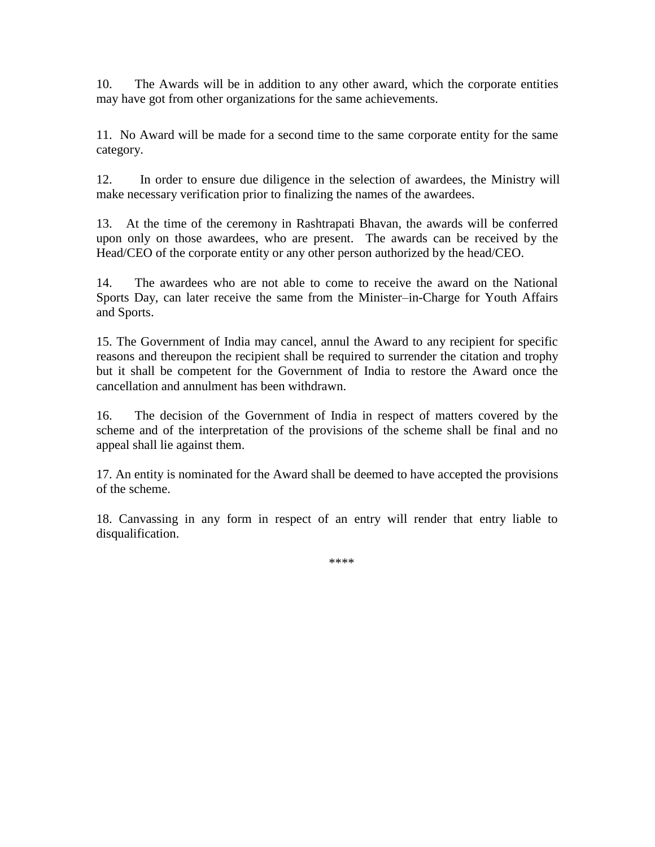10. The Awards will be in addition to any other award, which the corporate entities may have got from other organizations for the same achievements.

11. No Award will be made for a second time to the same corporate entity for the same category.

12. In order to ensure due diligence in the selection of awardees, the Ministry will make necessary verification prior to finalizing the names of the awardees.

13. At the time of the ceremony in Rashtrapati Bhavan, the awards will be conferred upon only on those awardees, who are present. The awards can be received by the Head/CEO of the corporate entity or any other person authorized by the head/CEO.

14. The awardees who are not able to come to receive the award on the National Sports Day, can later receive the same from the Minister–in-Charge for Youth Affairs and Sports.

15. The Government of India may cancel, annul the Award to any recipient for specific reasons and thereupon the recipient shall be required to surrender the citation and trophy but it shall be competent for the Government of India to restore the Award once the cancellation and annulment has been withdrawn.

16. The decision of the Government of India in respect of matters covered by the scheme and of the interpretation of the provisions of the scheme shall be final and no appeal shall lie against them.

17. An entity is nominated for the Award shall be deemed to have accepted the provisions of the scheme.

18. Canvassing in any form in respect of an entry will render that entry liable to disqualification.

\*\*\*\*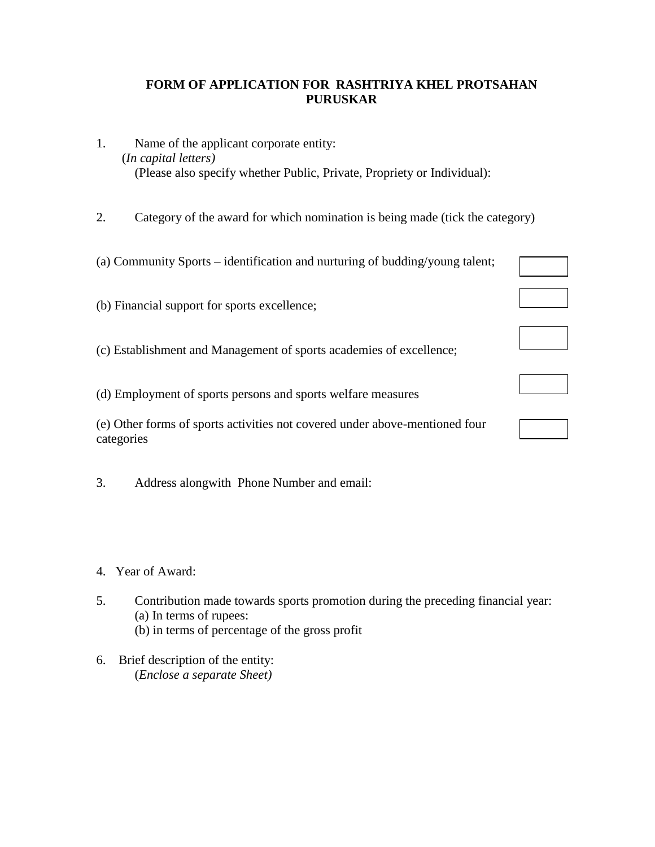### **FORM OF APPLICATION FOR RASHTRIYA KHEL PROTSAHAN PURUSKAR**

- 1. Name of the applicant corporate entity: (*In capital letters)*  (Please also specify whether Public, Private, Propriety or Individual):
- 2. Category of the award for which nomination is being made (tick the category)

| (a) Community Sports – identification and nurturing of budding/young talent;              |  |
|-------------------------------------------------------------------------------------------|--|
| (b) Financial support for sports excellence;                                              |  |
| (c) Establishment and Management of sports academies of excellence;                       |  |
| (d) Employment of sports persons and sports welfare measures                              |  |
| (e) Other forms of sports activities not covered under above-mentioned four<br>categories |  |

3. Address alongwith Phone Number and email:

- 4. Year of Award:
- 5. Contribution made towards sports promotion during the preceding financial year: (a) In terms of rupees: (b) in terms of percentage of the gross profit
- 6. Brief description of the entity: (*Enclose a separate Sheet)*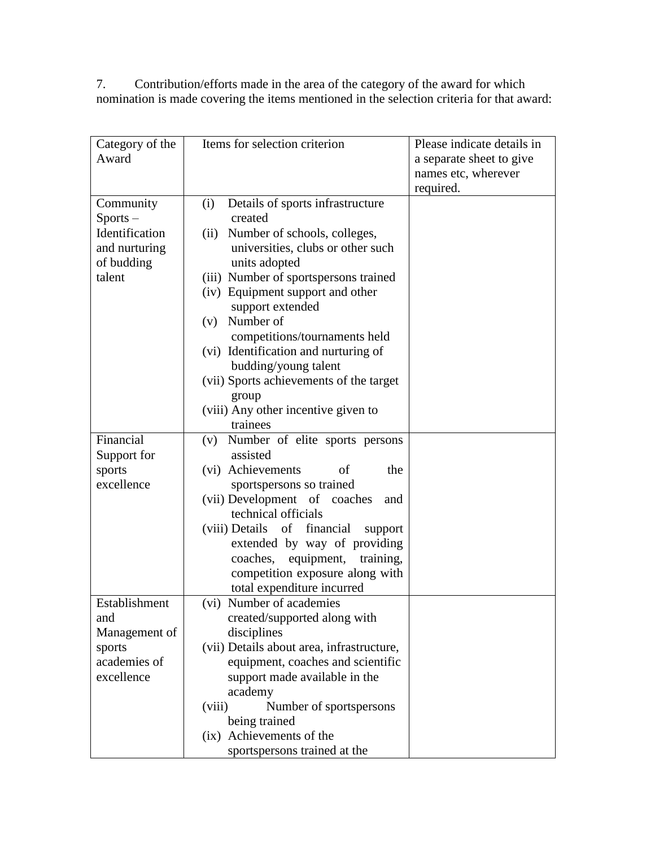7. Contribution/efforts made in the area of the category of the award for which nomination is made covering the items mentioned in the selection criteria for that award:

| Category of the        | Items for selection criterion                          | Please indicate details in |
|------------------------|--------------------------------------------------------|----------------------------|
| Award                  |                                                        | a separate sheet to give   |
|                        |                                                        | names etc, wherever        |
|                        |                                                        | required.                  |
| Community              | (i)<br>Details of sports infrastructure                |                            |
| $Sports -$             | created                                                |                            |
| Identification         | Number of schools, colleges,<br>(ii)                   |                            |
| and nurturing          | universities, clubs or other such                      |                            |
| of budding             | units adopted                                          |                            |
| talent                 | (iii) Number of sportspersons trained                  |                            |
|                        | (iv) Equipment support and other                       |                            |
|                        | support extended                                       |                            |
|                        | Number of<br>(v)                                       |                            |
|                        | competitions/tournaments held                          |                            |
|                        | (vi) Identification and nurturing of                   |                            |
|                        | budding/young talent                                   |                            |
|                        | (vii) Sports achievements of the target                |                            |
|                        | group                                                  |                            |
|                        | (viii) Any other incentive given to                    |                            |
|                        | trainees                                               |                            |
| Financial              | (v) Number of elite sports persons                     |                            |
| Support for            | assisted                                               |                            |
| sports                 | (vi) Achievements<br>the<br>of                         |                            |
| excellence             | sportspersons so trained                               |                            |
|                        | (vii) Development of coaches<br>and                    |                            |
|                        | technical officials                                    |                            |
|                        |                                                        |                            |
|                        | of<br>financial<br>(viii) Details<br>support           |                            |
|                        | extended by way of providing<br>coaches,               |                            |
|                        | equipment, training,                                   |                            |
|                        | competition exposure along with                        |                            |
| Establishment          | total expenditure incurred<br>(vi) Number of academies |                            |
|                        |                                                        |                            |
| and                    | created/supported along with                           |                            |
| Management of          | disciplines                                            |                            |
| sports<br>academies of | (vii) Details about area, infrastructure,              |                            |
| excellence             | equipment, coaches and scientific                      |                            |
|                        | support made available in the                          |                            |
|                        | academy                                                |                            |
|                        | Number of sportspersons<br>(viii)                      |                            |
|                        | being trained                                          |                            |
|                        | (ix) Achievements of the                               |                            |
|                        | sportspersons trained at the                           |                            |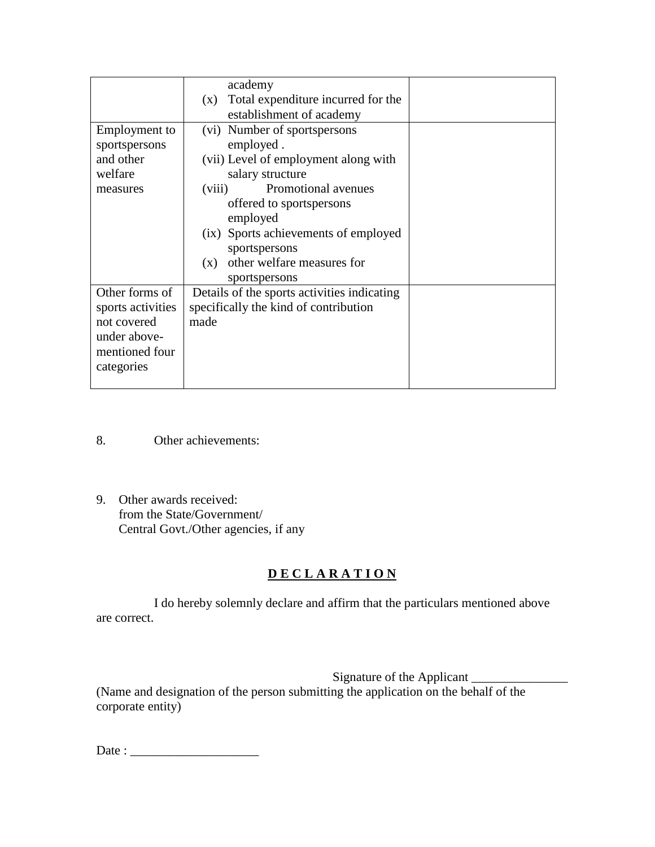|                                                                                                    | academy<br>Total expenditure incurred for the<br>(X)<br>establishment of academy                                                                                                                                                                                                              |  |
|----------------------------------------------------------------------------------------------------|-----------------------------------------------------------------------------------------------------------------------------------------------------------------------------------------------------------------------------------------------------------------------------------------------|--|
| Employment to<br>sportspersons<br>and other<br>welfare<br>measures                                 | (vi) Number of sportspersons<br>employed.<br>(vii) Level of employment along with<br>salary structure<br>Promotional avenues<br>(viii)<br>offered to sportspersons<br>employed<br>(ix) Sports achievements of employed<br>sportspersons<br>other welfare measures for<br>(X)<br>sportspersons |  |
| Other forms of<br>sports activities<br>not covered<br>under above-<br>mentioned four<br>categories | Details of the sports activities indicating<br>specifically the kind of contribution<br>made                                                                                                                                                                                                  |  |

- 8. Other achievements:
- 9. Other awards received: from the State/Government/ Central Govt./Other agencies, if any

# **D E C L A R A T I O N**

I do hereby solemnly declare and affirm that the particulars mentioned above are correct.

Signature of the Applicant \_\_\_\_\_\_\_\_\_\_\_\_\_\_\_ (Name and designation of the person submitting the application on the behalf of the corporate entity)

Date : \_\_\_\_\_\_\_\_\_\_\_\_\_\_\_\_\_\_\_\_